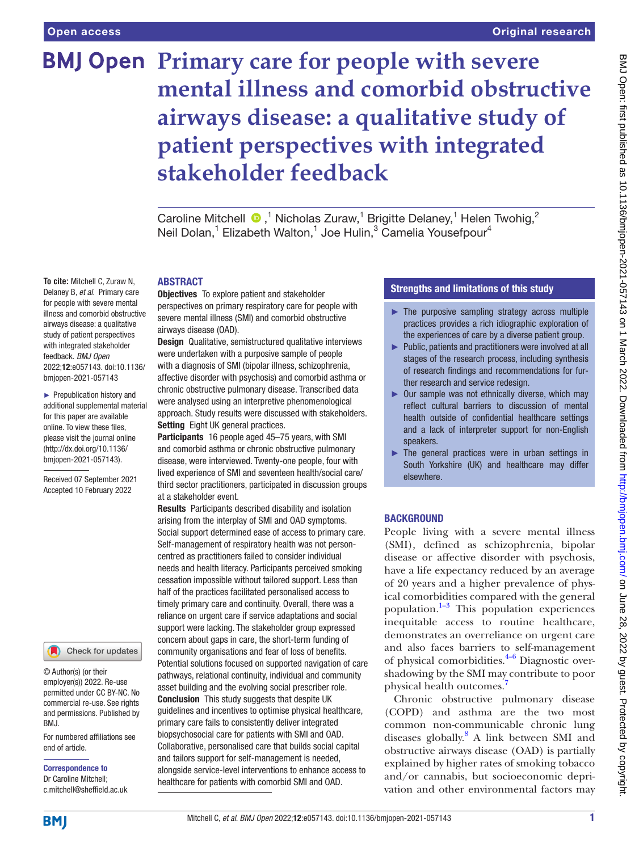**To cite:** Mitchell C, Zuraw N, Delaney B, *et al*. Primary care for people with severe mental illness and comorbid obstructive airways disease: a qualitative study of patient perspectives with integrated stakeholder feedback. *BMJ Open* 2022;12:e057143. doi:10.1136/ bmjopen-2021-057143 ► Prepublication history and additional supplemental material for this paper are available online. To view these files, please visit the journal online [\(http://dx.doi.org/10.1136/](http://dx.doi.org/10.1136/bmjopen-2021-057143) [bmjopen-2021-057143](http://dx.doi.org/10.1136/bmjopen-2021-057143)).

Received 07 September 2021 Accepted 10 February 2022

# **BMJ Open Primary care for people with severe mental illness and comorbid obstructive airways disease: a qualitative study of patient perspectives with integrated stakeholder feedback**

Caroline Mitchell  $\bullet$ ,<sup>1</sup> Nicholas Zuraw,<sup>1</sup> Brigitte Delaney,<sup>1</sup> Helen Twohig,<sup>2</sup> Neil Dolan,<sup>1</sup> Elizabeth Walton,<sup>1</sup> Joe Hulin,<sup>3</sup> Camelia Yousefpour<sup>4</sup>

### ABSTRACT

Objectives To explore patient and stakeholder perspectives on primary respiratory care for people with severe mental illness (SMI) and comorbid obstructive airways disease (OAD).

Design Qualitative, semistructured qualitative interviews were undertaken with a purposive sample of people with a diagnosis of SMI (bipolar illness, schizophrenia, affective disorder with psychosis) and comorbid asthma or chronic obstructive pulmonary disease. Transcribed data were analysed using an interpretive phenomenological approach. Study results were discussed with stakeholders. Setting Eight UK general practices.

Participants 16 people aged 45–75 years, with SMI and comorbid asthma or chronic obstructive pulmonary disease, were interviewed. Twenty-one people, four with lived experience of SMI and seventeen health/social care/ third sector practitioners, participated in discussion groups at a stakeholder event.

Results Participants described disability and isolation arising from the interplay of SMI and OAD symptoms. Social support determined ease of access to primary care. Self-management of respiratory health was not personcentred as practitioners failed to consider individual needs and health literacy. Participants perceived smoking cessation impossible without tailored support. Less than half of the practices facilitated personalised access to timely primary care and continuity. Overall, there was a reliance on urgent care if service adaptations and social support were lacking. The stakeholder group expressed concern about gaps in care, the short-term funding of community organisations and fear of loss of benefits. Potential solutions focused on supported navigation of care pathways, relational continuity, individual and community asset building and the evolving social prescriber role. Conclusion This study suggests that despite UK guidelines and incentives to optimise physical healthcare, primary care fails to consistently deliver integrated biopsychosocial care for patients with SMI and OAD. Collaborative, personalised care that builds social capital and tailors support for self-management is needed,

alongside service-level interventions to enhance access to healthcare for patients with comorbid SMI and OAD.

### Strengths and limitations of this study

- $\blacktriangleright$  The purposive sampling strategy across multiple practices provides a rich idiographic exploration of the experiences of care by a diverse patient group.
- ► Public, patients and practitioners were involved at all stages of the research process, including synthesis of research findings and recommendations for further research and service redesign.
- $\triangleright$  Our sample was not ethnically diverse, which may reflect cultural barriers to discussion of mental health outside of confidential healthcare settings and a lack of interpreter support for non-English speakers.
- The general practices were in urban settings in South Yorkshire (UK) and healthcare may differ elsewhere.

### BACKGROUND

People living with a severe mental illness (SMI), defined as schizophrenia, bipolar disease or affective disorder with psychosis, have a life expectancy reduced by an average of 20 years and a higher prevalence of physical comorbidities compared with the general population. $1-3$  This population experiences inequitable access to routine healthcare, demonstrates an overreliance on urgent care and also faces barriers to self-management of physical comorbidities. $4-6$  Diagnostic overshadowing by the SMI may contribute to poor physical health outcomes.[7](#page-9-2)

Chronic obstructive pulmonary disease (COPD) and asthma are the two most common non-communicable chronic lung diseases globally. [8](#page-9-3) A link between SMI and obstructive airways disease (OAD) is partially explained by higher rates of smoking tobacco and/or cannabis, but socioeconomic deprivation and other environmental factors may

permitted under CC BY-NC. No commercial re-use. See rights

© Author(s) (or their employer(s)) 2022. Re-use

For numbered affiliations see end of article. and permissions. Published by BMJ.

Check for updates

Correspondence to Dr Caroline Mitchell; c.mitchell@sheffield.ac.uk

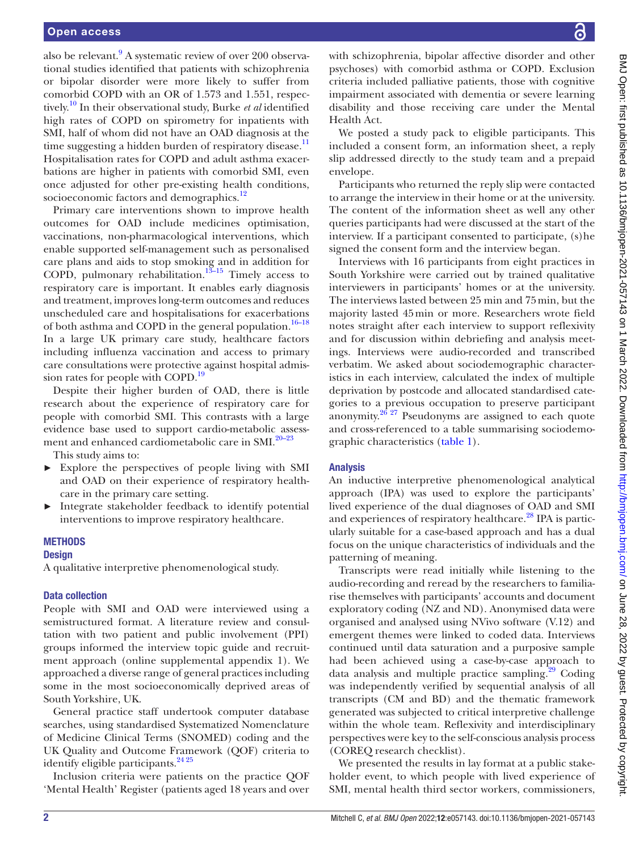also be relevant.<sup>[9](#page-9-4)</sup> A systematic review of over 200 observational studies identified that patients with schizophrenia or bipolar disorder were more likely to suffer from comorbid COPD with an OR of 1.573 and 1.551, respectively.[10](#page-9-5) In their observational study, Burke *et al* identified high rates of COPD on spirometry for inpatients with SMI, half of whom did not have an OAD diagnosis at the time suggesting a hidden burden of respiratory disease.<sup>11</sup> Hospitalisation rates for COPD and adult asthma exacerbations are higher in patients with comorbid SMI, even once adjusted for other pre-existing health conditions, socioeconomic factors and demographics.<sup>12</sup>

Primary care interventions shown to improve health outcomes for OAD include medicines optimisation, vaccinations, non-pharmacological interventions, which enable supported self-management such as personalised care plans and aids to stop smoking and in addition for COPD, pulmonary rehabilitation.<sup>13-15</sup> Timely access to respiratory care is important. It enables early diagnosis and treatment, improves long-term outcomes and reduces unscheduled care and hospitalisations for exacerbations of both asthma and COPD in the general population. $16-18$ In a large UK primary care study, healthcare factors including influenza vaccination and access to primary care consultations were protective against hospital admis-sion rates for people with COPD.<sup>[19](#page-9-10)</sup>

Despite their higher burden of OAD, there is little research about the experience of respiratory care for people with comorbid SMI. This contrasts with a large evidence base used to support cardio-metabolic assess-ment and enhanced cardiometabolic care in SMI.<sup>[20–23](#page-9-11)</sup>

This study aims to:

- ► Explore the perspectives of people living with SMI and OAD on their experience of respiratory healthcare in the primary care setting.
- Integrate stakeholder feedback to identify potential interventions to improve respiratory healthcare.

### **METHODS**

### **Design**

A qualitative interpretive phenomenological study.

### Data collection

People with SMI and OAD were interviewed using a semistructured format. A literature review and consultation with two patient and public involvement (PPI) groups informed the interview topic guide and recruitment approach [\(online supplemental appendix 1\)](https://dx.doi.org/10.1136/bmjopen-2021-057143). We approached a diverse range of general practices including some in the most socioeconomically deprived areas of South Yorkshire, UK.

General practice staff undertook computer database searches, using standardised Systematized Nomenclature of Medicine Clinical Terms (SNOMED) coding and the UK Quality and Outcome Framework (QOF) criteria to identify eligible participants.<sup>[24 25](#page-9-12)</sup>

Inclusion criteria were patients on the practice QOF 'Mental Health' Register (patients aged 18 years and over

with schizophrenia, bipolar affective disorder and other psychoses) with comorbid asthma or COPD. Exclusion criteria included palliative patients, those with cognitive impairment associated with dementia or severe learning disability and those receiving care under the Mental Health Act.

We posted a study pack to eligible participants. This included a consent form, an information sheet, a reply slip addressed directly to the study team and a prepaid envelope.

Participants who returned the reply slip were contacted to arrange the interview in their home or at the university. The content of the information sheet as well any other queries participants had were discussed at the start of the interview. If a participant consented to participate, (s)he signed the consent form and the interview began.

Interviews with 16 participants from eight practices in South Yorkshire were carried out by trained qualitative interviewers in participants' homes or at the university. The interviews lasted between 25 min and 75min, but the majority lasted 45min or more. Researchers wrote field notes straight after each interview to support reflexivity and for discussion within debriefing and analysis meetings. Interviews were audio-recorded and transcribed verbatim. We asked about sociodemographic characteristics in each interview, calculated the index of multiple deprivation by postcode and allocated standardised categories to a previous occupation to preserve participant anonymity. $26\frac{27}{27}$  Pseudonyms are assigned to each quote and cross-referenced to a table summarising sociodemographic characteristics [\(table](#page-2-0) 1).

### Analysis

An inductive interpretive phenomenological analytical approach (IPA) was used to explore the participants' lived experience of the dual diagnoses of OAD and SMI and experiences of respiratory healthcare.<sup>28</sup> IPA is particularly suitable for a case-based approach and has a dual focus on the unique characteristics of individuals and the patterning of meaning.

Transcripts were read initially while listening to the audio-recording and reread by the researchers to familiarise themselves with participants' accounts and document exploratory coding (NZ and ND). Anonymised data were organised and analysed using NVivo software (V.12) and emergent themes were linked to coded data. Interviews continued until data saturation and a purposive sample had been achieved using a case-by-case approach to data analysis and multiple practice sampling. $29$  Coding was independently verified by sequential analysis of all transcripts (CM and BD) and the thematic framework generated was subjected to critical interpretive challenge within the whole team. Reflexivity and interdisciplinary perspectives were key to the self-conscious analysis process (COREQ research checklist).

We presented the results in lay format at a public stakeholder event, to which people with lived experience of SMI, mental health third sector workers, commissioners,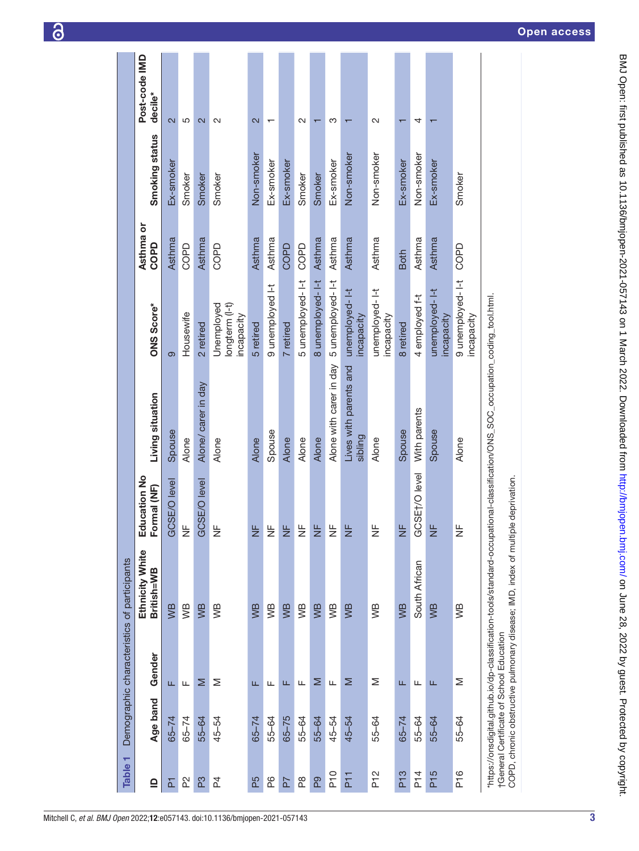<span id="page-2-0"></span>

| ٣<br><b>Table</b>                 |           | Demographic characteristics of participants |                                                                                                                                                             |                                 |                                                           |                                            |                   |                |                          |
|-----------------------------------|-----------|---------------------------------------------|-------------------------------------------------------------------------------------------------------------------------------------------------------------|---------------------------------|-----------------------------------------------------------|--------------------------------------------|-------------------|----------------|--------------------------|
| ≘                                 | Age band  | Gender                                      | Ethnicity White<br>British=WB                                                                                                                               | Education No<br>Formal (NF)     | Living situation                                          | ONS Score*                                 | Asthma or<br>COPD | Smoking status | Post-code IMD<br>decile* |
| 집                                 | $65 - 74$ | Щ                                           | WB                                                                                                                                                          | GCSE/O level                    | Spouse                                                    | တ                                          | Asthma            | Ex-smoker      | $\overline{\mathsf{c}}$  |
| $\mathbf{\mathsf{\underline{S}}}$ | $65 - 74$ | Щ                                           | WВ                                                                                                                                                          | $\frac{\mathsf{L}}{\mathsf{L}}$ | Alone                                                     | Housewife                                  | <b>COPD</b>       | Smoker         | 5                        |
| P3                                | 55-64     | Σ                                           | WB                                                                                                                                                          | GCSE/O level                    | Alone/ carer in day                                       | 2 retired                                  | Asthma            | Smoker         | $\overline{\mathsf{c}}$  |
| 24                                | 45-54     | Σ                                           | WВ                                                                                                                                                          | $\frac{\mathsf{L}}{\mathsf{L}}$ | Alone                                                     | Unemployed<br>longterm (l-t)<br>incapacity | <b>COPD</b>       | Smoker         | 2                        |
| P5                                | $65 - 74$ | Щ                                           | WB                                                                                                                                                          | $\frac{1}{2}$                   | Alone                                                     | 5 retired                                  | Asthma            | Non-smoker     | 2                        |
| P6                                | 55-64     | ட                                           | УB                                                                                                                                                          | $\frac{\mu}{Z}$                 | Spouse                                                    | 9 unemployed I-t                           | Asthma            | Ex-smoker      |                          |
| P7                                | $65 - 75$ | Щ                                           | WB                                                                                                                                                          | $\frac{L}{Z}$                   | Alone                                                     | 7 retired                                  | COPD              | Ex-smoker      |                          |
| $\frac{8}{2}$                     | 55-64     | Щ                                           | WВ                                                                                                                                                          | $\frac{\mathsf{L}}{\mathsf{L}}$ | Alone                                                     | 5 unemployed-l-t                           | COPD              | Smoker         | N                        |
| P <sub>9</sub>                    | 55-64     | Σ                                           | WB                                                                                                                                                          | $\frac{L}{Z}$                   | Alone                                                     | 8 unemployed-1-t                           | Asthma            | Smoker         | ᠇                        |
| $P_{10}$                          | 45-54     | Щ                                           | WВ                                                                                                                                                          | $\frac{\mu}{Z}$                 | Alone with carer in day                                   | 5 unemployed-I-t                           | Asthma            | Ex-smoker      | က                        |
| P <sub>11</sub>                   | 45-54     | Σ                                           | WB                                                                                                                                                          | $\frac{L}{Z}$                   | Lives with parents and<br>sibling                         | unemployed-1-t<br>incapacity               | Asthma            | Non-smoker     |                          |
| P <sub>12</sub>                   | 55-64     | Σ                                           | WВ                                                                                                                                                          | ₩                               | Alone                                                     | unemployed-1-t<br>incapacity               | Asthma            | Non-smoker     | $\sim$                   |
| P <sub>13</sub>                   | $65 - 74$ | Щ                                           | WB                                                                                                                                                          | $\frac{L}{Z}$                   | Spouse                                                    | 8 retired                                  | <b>Both</b>       | Ex-smoker      | ᠇                        |
| P <sub>1</sub>                    | 55-64     | Щ                                           | South African                                                                                                                                               | SE <sub>t/O</sub> level<br>မိ   | With parents                                              | 4 employed f-t                             | Asthma            | Non-smoker     | 4                        |
| P <sub>15</sub>                   | 55-64     | щ                                           | WB                                                                                                                                                          | $\frac{L}{Z}$                   | Spouse                                                    | unemployed-1-t<br>incapacity               | Asthma            | Ex-smoker      |                          |
| P <sub>16</sub>                   | 55-64     | Σ                                           | уB                                                                                                                                                          | $\frac{\mathsf{L}}{\mathsf{L}}$ | Alone                                                     | 9 unemployed-1-t<br>incapacity             | COPD              | Smoker         |                          |
|                                   |           | †General Certificate of School Education    | COPD, chronic obstructive pulmonary disease; IMD, index of multiple deprivation.<br>"https://onsdigital.github.io/dp-classification-tools/standard-occupati |                                 | ional-classification/ONS_SOC_occupation_coding_tool.html. |                                            |                   |                |                          |

6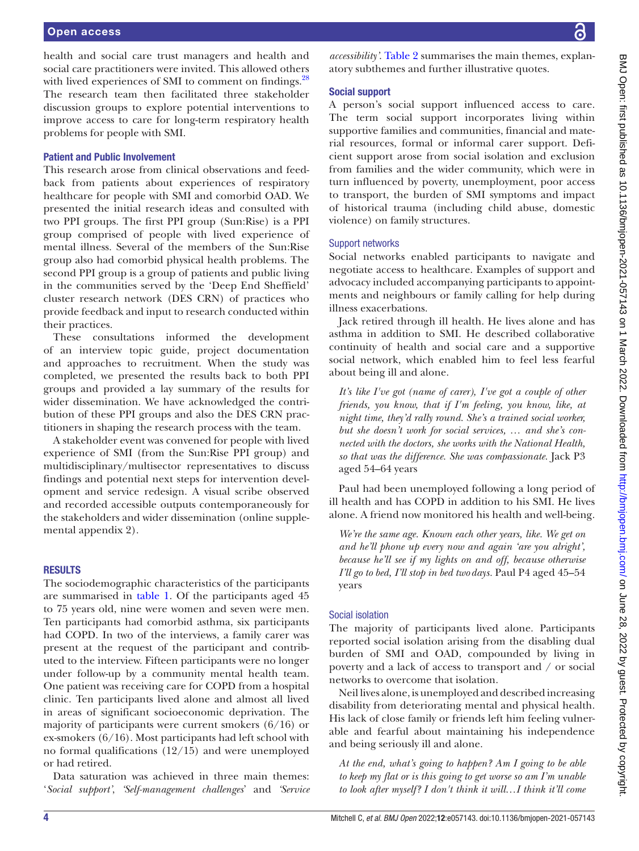health and social care trust managers and health and social care practitioners were invited. This allowed others with lived experiences of SMI to comment on findings.<sup>28</sup> The research team then facilitated three stakeholder discussion groups to explore potential interventions to improve access to care for long-term respiratory health problems for people with SMI.

### Patient and Public Involvement

This research arose from clinical observations and feedback from patients about experiences of respiratory healthcare for people with SMI and comorbid OAD. We presented the initial research ideas and consulted with two PPI groups. The first PPI group (Sun:Rise) is a PPI group comprised of people with lived experience of mental illness. Several of the members of the Sun:Rise group also had comorbid physical health problems. The second PPI group is a group of patients and public living in the communities served by the 'Deep End Sheffield' cluster research network (DES CRN) of practices who provide feedback and input to research conducted within their practices.

These consultations informed the development of an interview topic guide, project documentation and approaches to recruitment. When the study was completed, we presented the results back to both PPI groups and provided a lay summary of the results for wider dissemination. We have acknowledged the contribution of these PPI groups and also the DES CRN practitioners in shaping the research process with the team.

A stakeholder event was convened for people with lived experience of SMI (from the Sun:Rise PPI group) and multidisciplinary/multisector representatives to discuss findings and potential next steps for intervention development and service redesign. A visual scribe observed and recorded accessible outputs contemporaneously for the stakeholders and wider dissemination ([online supple](https://dx.doi.org/10.1136/bmjopen-2021-057143)[mental appendix 2](https://dx.doi.org/10.1136/bmjopen-2021-057143)).

### RESULTS

The sociodemographic characteristics of the participants are summarised in [table](#page-2-0) 1. Of the participants aged 45 to 75 years old, nine were women and seven were men. Ten participants had comorbid asthma, six participants had COPD. In two of the interviews, a family carer was present at the request of the participant and contributed to the interview. Fifteen participants were no longer under follow-up by a community mental health team. One patient was receiving care for COPD from a hospital clinic. Ten participants lived alone and almost all lived in areas of significant socioeconomic deprivation. The majority of participants were current smokers (6/16) or ex-smokers (6/16). Most participants had left school with no formal qualifications (12/15) and were unemployed or had retired.

Data saturation was achieved in three main themes: '*Social support'*, *'Self-management challenges*' and *'Service* 

*accessibility'*. [Table](#page-4-0) 2 summarises the main themes, explanatory subthemes and further illustrative quotes.

### Social support

A person's social support influenced access to care. The term social support incorporates living within supportive families and communities, financial and material resources, formal or informal carer support. Deficient support arose from social isolation and exclusion from families and the wider community, which were in turn influenced by poverty, unemployment, poor access to transport, the burden of SMI symptoms and impact of historical trauma (including child abuse, domestic violence) on family structures.

### Support networks

Social networks enabled participants to navigate and negotiate access to healthcare. Examples of support and advocacy included accompanying participants to appointments and neighbours or family calling for help during illness exacerbations.

Jack retired through ill health. He lives alone and has asthma in addition to SMI. He described collaborative continuity of health and social care and a supportive social network, which enabled him to feel less fearful about being ill and alone.

*It's like I've got (name of carer), I've got a couple of other friends, you know, that if I'm feeling, you know, like, at night time, they'd rally round. She's a trained social worker, but she doesn't work for social services, … and she's connected with the doctors, she works with the National Health, so that was the difference. She was compassionate.* Jack P3 aged 54–64 years

Paul had been unemployed following a long period of ill health and has COPD in addition to his SMI. He lives alone. A friend now monitored his health and well-being.

*We're the same age. Known each other years, like. We get on and he'll phone up every now and again 'are you alright', because he'll see if my lights on and off, because otherwise I'll go to bed, I'll stop in bed twodays.* Paul P4 aged 45–54 years

### Social isolation

The majority of participants lived alone. Participants reported social isolation arising from the disabling dual burden of SMI and OAD, compounded by living in poverty and a lack of access to transport and / or social networks to overcome that isolation.

Neil lives alone, is unemployed and described increasing disability from deteriorating mental and physical health. His lack of close family or friends left him feeling vulnerable and fearful about maintaining his independence and being seriously ill and alone.

*At the end, what's going to happen? Am I going to be able to keep my flat or is this going to get worse so am I'm unable to look after myself? I don't think it will…I think it'll come*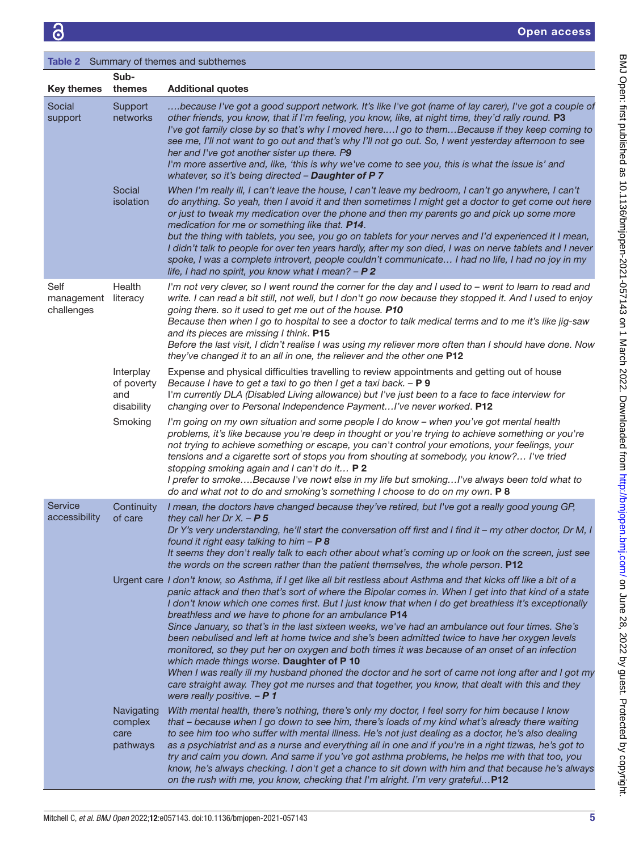<span id="page-4-0"></span>

|                                  |                                              | Table 2 Summary of themes and subthemes                                                                                                                                                                                                                                                                                                                                                                                                                                                                                                                                                                                                                                                                                                                                                                                                                                                                                                                                                      |
|----------------------------------|----------------------------------------------|----------------------------------------------------------------------------------------------------------------------------------------------------------------------------------------------------------------------------------------------------------------------------------------------------------------------------------------------------------------------------------------------------------------------------------------------------------------------------------------------------------------------------------------------------------------------------------------------------------------------------------------------------------------------------------------------------------------------------------------------------------------------------------------------------------------------------------------------------------------------------------------------------------------------------------------------------------------------------------------------|
| <b>Key themes</b>                | Sub-<br>themes                               | <b>Additional quotes</b>                                                                                                                                                                                                                                                                                                                                                                                                                                                                                                                                                                                                                                                                                                                                                                                                                                                                                                                                                                     |
| Social<br>support                | Support<br>networks                          | because I've got a good support network. It's like I've got (name of lay carer), I've got a couple of<br>other friends, you know, that if I'm feeling, you know, like, at night time, they'd rally round. P3<br>I've got family close by so that's why I moved hereI go to themBecause if they keep coming to<br>see me, I'll not want to go out and that's why I'll not go out. So, I went yesterday afternoon to see<br>her and I've got another sister up there. P9<br>I'm more assertive and, like, 'this is why we've come to see you, this is what the issue is' and<br>whatever, so it's being directed - Daughter of P 7                                                                                                                                                                                                                                                                                                                                                             |
|                                  | Social<br>isolation                          | When I'm really ill, I can't leave the house, I can't leave my bedroom, I can't go anywhere, I can't<br>do anything. So yeah, then I avoid it and then sometimes I might get a doctor to get come out here<br>or just to tweak my medication over the phone and then my parents go and pick up some more<br>medication for me or something like that. P14.<br>but the thing with tablets, you see, you go on tablets for your nerves and I'd experienced it I mean,<br>I didn't talk to people for over ten years hardly, after my son died, I was on nerve tablets and I never<br>spoke, I was a complete introvert, people couldn't communicate I had no life, I had no joy in my<br>life, I had no spirit, you know what I mean? - P 2                                                                                                                                                                                                                                                    |
| Self<br>management<br>challenges | Health<br>literacy                           | I'm not very clever, so I went round the corner for the day and I used to - went to learn to read and<br>write. I can read a bit still, not well, but I don't go now because they stopped it. And I used to enjoy<br>going there. so it used to get me out of the house. P10<br>Because then when I go to hospital to see a doctor to talk medical terms and to me it's like jig-saw<br>and its pieces are missing I think. P15<br>Before the last visit, I didn't realise I was using my reliever more often than I should have done. Now<br>they've changed it to an all in one, the reliever and the other one P12                                                                                                                                                                                                                                                                                                                                                                        |
|                                  | Interplay<br>of poverty<br>and<br>disability | Expense and physical difficulties travelling to review appointments and getting out of house<br>Because I have to get a taxi to go then I get a taxi back. - P 9<br>I'm currently DLA (Disabled Living allowance) but I've just been to a face to face interview for<br>changing over to Personal Independence Payment I've never worked. P12                                                                                                                                                                                                                                                                                                                                                                                                                                                                                                                                                                                                                                                |
|                                  | Smoking                                      | I'm going on my own situation and some people I do know - when you've got mental health<br>problems, it's like because you're deep in thought or you're trying to achieve something or you're<br>not trying to achieve something or escape, you can't control your emotions, your feelings, your<br>tensions and a cigarette sort of stops you from shouting at somebody, you know? I've tried<br>stopping smoking again and I can't do it P 2<br>I prefer to smokeBecause I've nowt else in my life but smokingI've always been told what to<br>do and what not to do and smoking's something I choose to do on my own. P 8                                                                                                                                                                                                                                                                                                                                                                 |
| Service<br>accessibility         | Continuity<br>of care                        | I mean, the doctors have changed because they've retired, but I've got a really good young GP,<br>they call her Dr X. $- P 5$<br>Dr Y's very understanding, he'll start the conversation off first and I find it - my other doctor, Dr M, I<br>found it right easy talking to him $- P 8$<br>It seems they don't really talk to each other about what's coming up or look on the screen, just see<br>the words on the screen rather than the patient themselves, the whole person. P12                                                                                                                                                                                                                                                                                                                                                                                                                                                                                                       |
|                                  |                                              | Urgent care I don't know, so Asthma, if I get like all bit restless about Asthma and that kicks off like a bit of a<br>panic attack and then that's sort of where the Bipolar comes in. When I get into that kind of a state<br>I don't know which one comes first. But I just know that when I do get breathless it's exceptionally<br>breathless and we have to phone for an ambulance P14<br>Since January, so that's in the last sixteen weeks, we've had an ambulance out four times. She's<br>been nebulised and left at home twice and she's been admitted twice to have her oxygen levels<br>monitored, so they put her on oxygen and both times it was because of an onset of an infection<br>which made things worse. Daughter of P 10<br>When I was really ill my husband phoned the doctor and he sort of came not long after and I got my<br>care straight away. They got me nurses and that together, you know, that dealt with this and they<br>were really positive. $- P 1$ |
|                                  | Navigating<br>complex<br>care<br>pathways    | With mental health, there's nothing, there's only my doctor, I feel sorry for him because I know<br>that - because when I go down to see him, there's loads of my kind what's already there waiting<br>to see him too who suffer with mental illness. He's not just dealing as a doctor, he's also dealing<br>as a psychiatrist and as a nurse and everything all in one and if you're in a right tizwas, he's got to<br>try and calm you down. And same if you've got asthma problems, he helps me with that too, you<br>know, he's always checking. I don't get a chance to sit down with him and that because he's always<br>on the rush with me, you know, checking that I'm alright. I'm very grateful P12                                                                                                                                                                                                                                                                              |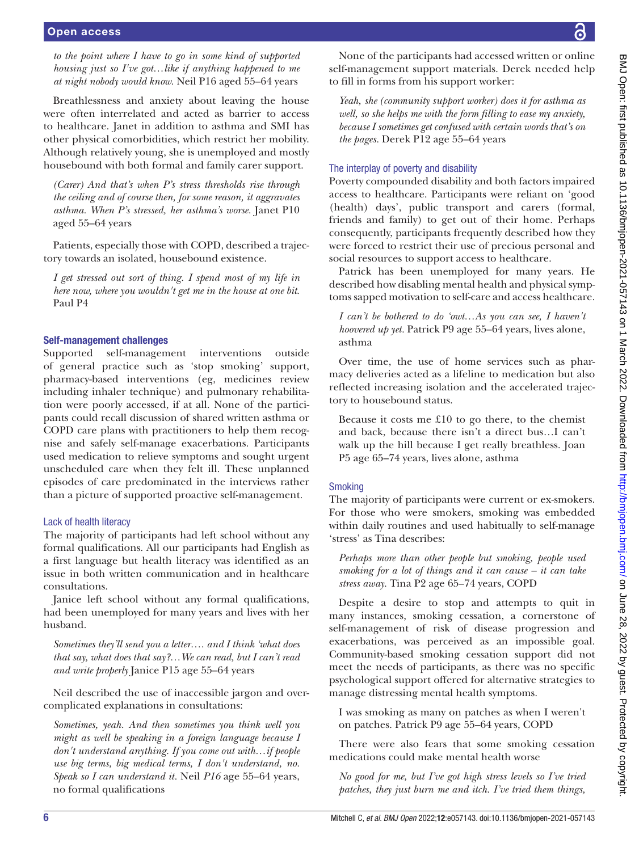*to the point where I have to go in some kind of supported housing just so I've got…like if anything happened to me at night nobody would know.* Neil P16 aged 55–64 years

Breathlessness and anxiety about leaving the house were often interrelated and acted as barrier to access to healthcare. Janet in addition to asthma and SMI has other physical comorbidities, which restrict her mobility. Although relatively young, she is unemployed and mostly housebound with both formal and family carer support.

*(Carer) And that's when P's stress thresholds rise through the ceiling and of course then, for some reason, it aggravates asthma. When P's stressed, her asthma's worse.* Janet P10 aged 55–64 years

Patients, especially those with COPD, described a trajectory towards an isolated, housebound existence.

*I get stressed out sort of thing. I spend most of my life in here now, where you wouldn't get me in the house at one bit*. Paul P4

## Self-management challenges

Supported self-management interventions outside of general practice such as 'stop smoking' support, pharmacy-based interventions (eg, medicines review including inhaler technique) and pulmonary rehabilitation were poorly accessed, if at all. None of the participants could recall discussion of shared written asthma or COPD care plans with practitioners to help them recognise and safely self-manage exacerbations. Participants used medication to relieve symptoms and sought urgent unscheduled care when they felt ill. These unplanned episodes of care predominated in the interviews rather than a picture of supported proactive self-management.

### Lack of health literacy

The majority of participants had left school without any formal qualifications. All our participants had English as a first language but health literacy was identified as an issue in both written communication and in healthcare consultations.

Janice left school without any formal qualifications, had been unemployed for many years and lives with her husband.

*Sometimes they'll send you a letter…. and I think 'what does that say, what does that say?…We can read, but I can't read and write properly* Janice P15 age 55–64 years

Neil described the use of inaccessible jargon and overcomplicated explanations in consultations:

*Sometimes, yeah. And then sometimes you think well you might as well be speaking in a foreign language because I don't understand anything. If you come out with…if people use big terms, big medical terms, I don't understand, no. Speak so I can understand it.* Neil *P16* age 55–64 years, no formal qualifications

None of the participants had accessed written or online self-management support materials. Derek needed help

*Yeah, she (community support worker) does it for asthma as well, so she helps me with the form filling to ease my anxiety, because I sometimes get confused with certain words that's on the pages.* Derek P12 age 55–64 years

# The interplay of poverty and disability

to fill in forms from his support worker:

Poverty compounded disability and both factors impaired access to healthcare. Participants were reliant on 'good (health) days', public transport and carers (formal, friends and family) to get out of their home. Perhaps consequently, participants frequently described how they were forced to restrict their use of precious personal and social resources to support access to healthcare.

Patrick has been unemployed for many years. He described how disabling mental health and physical symptoms sapped motivation to self-care and access healthcare.

*I can't be bothered to do 'owt…As you can see, I haven't hoovered up yet.* Patrick P9 age 55–64 years, lives alone, asthma

Over time, the use of home services such as pharmacy deliveries acted as a lifeline to medication but also reflected increasing isolation and the accelerated trajectory to housebound status.

Because it costs me £10 to go there, to the chemist and back, because there isn't a direct bus…I can't walk up the hill because I get really breathless. Joan P5 age 65–74 years, lives alone, asthma

# **Smoking**

The majority of participants were current or ex-smokers. For those who were smokers, smoking was embedded within daily routines and used habitually to self-manage 'stress' as Tina describes:

*Perhaps more than other people but smoking, people used smoking for a lot of things and it can cause – it can take stress away.* Tina P2 age 65–74 years, COPD

Despite a desire to stop and attempts to quit in many instances, smoking cessation, a cornerstone of self-management of risk of disease progression and exacerbations, was perceived as an impossible goal. Community-based smoking cessation support did not meet the needs of participants, as there was no specific psychological support offered for alternative strategies to manage distressing mental health symptoms.

I was smoking as many on patches as when I weren't on patches. Patrick P9 age 55–64 years, COPD

There were also fears that some smoking cessation medications could make mental health worse

*No good for me, but I've got high stress levels so I've tried patches, they just burn me and itch. I've tried them things,*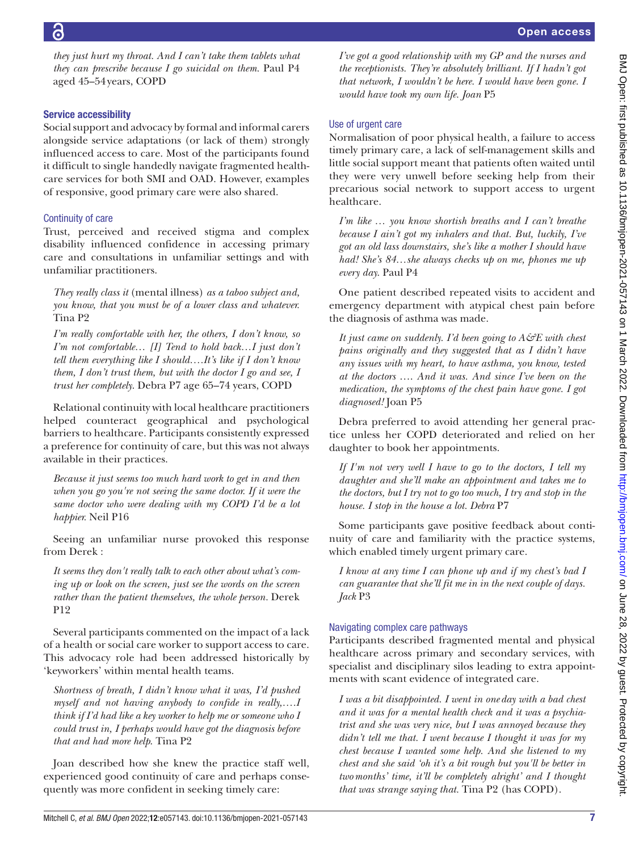*they just hurt my throat. And I can't take them tablets what they can prescribe because I go suicidal on them.* Paul P4 aged 45–54years, COPD

### Service accessibility

Social support and advocacy by formal and informal carers alongside service adaptations (or lack of them) strongly influenced access to care. Most of the participants found it difficult to single handedly navigate fragmented healthcare services for both SMI and OAD. However, examples of responsive, good primary care were also shared.

### Continuity of care

Trust, perceived and received stigma and complex disability influenced confidence in accessing primary care and consultations in unfamiliar settings and with unfamiliar practitioners.

*They really class it* (mental illness) *as a taboo subject and, you know, that you must be of a lower class and whatever.* Tina P2

*I'm really comfortable with her, the others, I don't know, so I'm not comfortable… [I] Tend to hold back…I just don't tell them everything like I should….It's like if I don't know them, I don't trust them, but with the doctor I go and see, I trust her completely*. Debra P7 age 65–74 years, COPD

Relational continuity with local healthcare practitioners helped counteract geographical and psychological barriers to healthcare. Participants consistently expressed a preference for continuity of care, but this was not always available in their practices.

*Because it just seems too much hard work to get in and then when you go you're not seeing the same doctor. If it were the same doctor who were dealing with my COPD I'd be a lot happier.* Neil P16

Seeing an unfamiliar nurse provoked this response from Derek :

*It seems they don't really talk to each other about what's coming up or look on the screen, just see the words on the screen rather than the patient themselves, the whole person.* Derek P12

Several participants commented on the impact of a lack of a health or social care worker to support access to care. This advocacy role had been addressed historically by 'keyworkers' within mental health teams.

*Shortness of breath, I didn't know what it was, I'd pushed myself and not having anybody to confide in really,….I think if I'd had like a key worker to help me or someone who I could trust in, I perhaps would have got the diagnosis before that and had more help*. Tina P2

Joan described how she knew the practice staff well, experienced good continuity of care and perhaps consequently was more confident in seeking timely care:

*I've got a good relationship with my GP and the nurses and the receptionists. They're absolutely brilliant. If I hadn't got that network, I wouldn't be here. I would have been gone. I would have took my own life. Joan* P5

# Use of urgent care

Normalisation of poor physical health, a failure to access timely primary care, a lack of self-management skills and little social support meant that patients often waited until they were very unwell before seeking help from their precarious social network to support access to urgent healthcare.

*I'm like … you know shortish breaths and I can't breathe because I ain't got my inhalers and that. But, luckily, I've got an old lass downstairs, she's like a mother I should have had! She's 84…she always checks up on me, phones me up every day*. Paul P4

One patient described repeated visits to accident and emergency department with atypical chest pain before the diagnosis of asthma was made.

*It just came on suddenly. I'd been going to A&E with chest pains originally and they suggested that as I didn't have any issues with my heart, to have asthma, you know, tested at the doctors* …. *And it was. And since I've been on the medication, the symptoms of the chest pain have gone. I got diagnosed!* Joan P5

Debra preferred to avoid attending her general practice unless her COPD deteriorated and relied on her daughter to book her appointments.

*If I'm not very well I have to go to the doctors, I tell my daughter and she'll make an appointment and takes me to the doctors, but I try not to go too much, I try and stop in the house. I stop in the house a lot. Debra* P7

Some participants gave positive feedback about continuity of care and familiarity with the practice systems, which enabled timely urgent primary care.

*I know at any time I can phone up and if my chest's bad I can guarantee that she'll fit me in in the next couple of days. Jack* P3

# Navigating complex care pathways

Participants described fragmented mental and physical healthcare across primary and secondary services, with specialist and disciplinary silos leading to extra appointments with scant evidence of integrated care.

*I was a bit disappointed. I went in one day with a bad chest and it was for a mental health check and it was a psychiatrist and she was very nice, but I was annoyed because they didn't tell me that. I went because I thought it was for my chest because I wanted some help. And she listened to my chest and she said 'oh it's a bit rough but you'll be better in twomonths' time, it'll be completely alright' and I thought that was strange saying that.* Tina P2 (has COPD).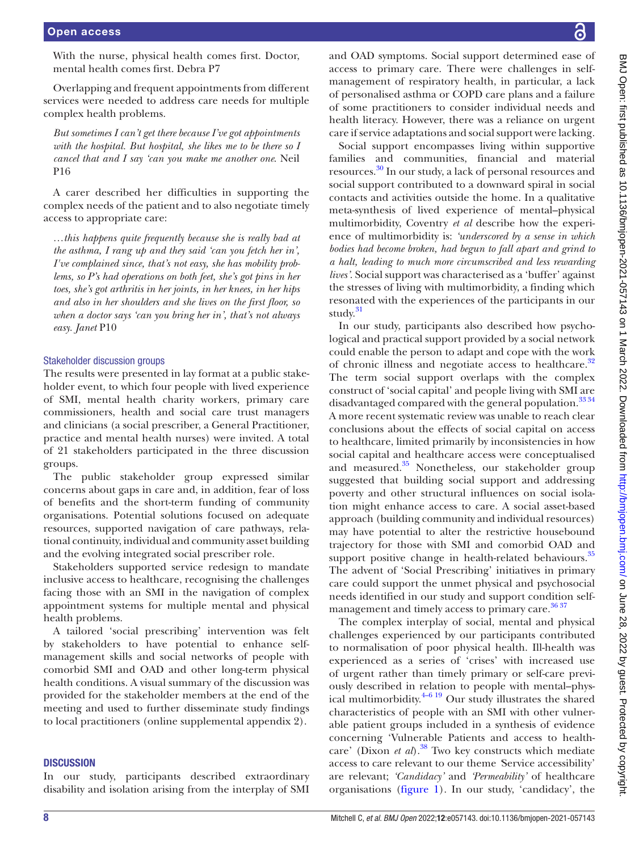With the nurse, physical health comes first. Doctor, mental health comes first. Debra P7

Overlapping and frequent appointments from different services were needed to address care needs for multiple complex health problems.

*But sometimes I can't get there because I've got appointments with the hospital. But hospital, she likes me to be there so I cancel that and I say 'can you make me another one*. Neil P16

A carer described her difficulties in supporting the complex needs of the patient and to also negotiate timely access to appropriate care:

*…this happens quite frequently because she is really bad at the asthma, I rang up and they said 'can you fetch her in', I've complained since, that's not easy, she has mobility problems, so P's had operations on both feet, she's got pins in her toes, she's got arthritis in her joints, in her knees, in her hips and also in her shoulders and she lives on the first floor, so when a doctor says 'can you bring her in', that's not always easy. Janet* P10

### Stakeholder discussion groups

The results were presented in lay format at a public stakeholder event, to which four people with lived experience of SMI, mental health charity workers, primary care commissioners, health and social care trust managers and clinicians (a social prescriber, a General Practitioner, practice and mental health nurses) were invited. A total of 21 stakeholders participated in the three discussion groups.

The public stakeholder group expressed similar concerns about gaps in care and, in addition, fear of loss of benefits and the short-term funding of community organisations. Potential solutions focused on adequate resources, supported navigation of care pathways, relational continuity, individual and community asset building and the evolving integrated social prescriber role.

Stakeholders supported service redesign to mandate inclusive access to healthcare, recognising the challenges facing those with an SMI in the navigation of complex appointment systems for multiple mental and physical health problems.

A tailored 'social prescribing' intervention was felt by stakeholders to have potential to enhance selfmanagement skills and social networks of people with comorbid SMI and OAD and other long-term physical health conditions. A visual summary of the discussion was provided for the stakeholder members at the end of the meeting and used to further disseminate study findings to local practitioners [\(online supplemental appendix 2](https://dx.doi.org/10.1136/bmjopen-2021-057143)).

#### **DISCUSSION**

In our study, participants described extraordinary disability and isolation arising from the interplay of SMI

Social support encompasses living within supportive families and communities, financial and material resources. [30](#page-9-16) In our study, a lack of personal resources and social support contributed to a downward spiral in social contacts and activities outside the home. In a qualitative meta-synthesis of lived experience of mental–physical multimorbidity, Coventry *et al* describe how the experience of multimorbidity is: *'underscored by a sense in which bodies had become broken, had begun to fall apart and grind to a halt, leading to much more circumscribed and less rewarding lives'*. Social support was characterised as a 'buffer' against the stresses of living with multimorbidity, a finding which resonated with the experiences of the participants in our study.<sup>31</sup>

In our study, participants also described how psychological and practical support provided by a social network could enable the person to adapt and cope with the work of chronic illness and negotiate access to healthcare.<sup>[32](#page-9-18)</sup> The term social support overlaps with the complex construct of 'social capital' and people living with SMI are disadvantaged compared with the general population.<sup>[33 34](#page-9-19)</sup> A more recent systematic review was unable to reach clear conclusions about the effects of social capital on access to healthcare, limited primarily by inconsistencies in how social capital and healthcare access were conceptualised and measured.<sup>35</sup> Nonetheless, our stakeholder group suggested that building social support and addressing poverty and other structural influences on social isolation might enhance access to care. A social asset-based approach (building community and individual resources) may have potential to alter the restrictive housebound trajectory for those with SMI and comorbid OAD and support positive change in health-related behaviours.<sup>[35](#page-9-20)</sup> The advent of 'Social Prescribing' initiatives in primary care could support the unmet physical and psychosocial needs identified in our study and support condition selfmanagement and timely access to primary care.<sup>36</sup><sup>37</sup>

The complex interplay of social, mental and physical challenges experienced by our participants contributed to normalisation of poor physical health. Ill-health was experienced as a series of 'crises' with increased use of urgent rather than timely primary or self-care previously described in relation to people with mental–physical multimorbidity. $4-619$  Our study illustrates the shared characteristics of people with an SMI with other vulnerable patient groups included in a synthesis of evidence concerning 'Vulnerable Patients and access to healthcare' (Dixon *et al*).<sup>38</sup> Two key constructs which mediate access to care relevant to our theme *'*Service accessibility' are relevant; *'Candidacy'* and *'Permeability'* of healthcare organisations ([figure](#page-8-0) 1). In our study, 'candidacy', the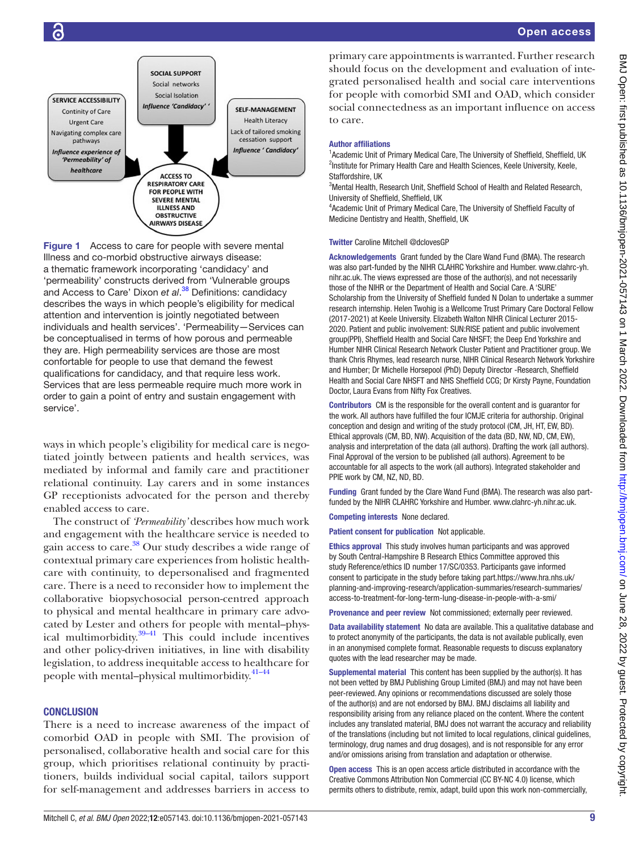

<span id="page-8-0"></span>Figure 1 Access to care for people with severe mental Illness and co-morbid obstructive airways disease: a thematic framework incorporating 'candidacy' and 'permeability' constructs derived from 'Vulnerable groups and Access to Care' Dixon *et al*. [38](#page-9-22) Definitions: candidacy describes the ways in which people's eligibility for medical attention and intervention is jointly negotiated between individuals and health services'. 'Permeability—Services can be conceptualised in terms of how porous and permeable they are. High permeability services are those are most confortable for people to use that demand the fewest qualifications for candidacy, and that require less work. Services that are less permeable require much more work in order to gain a point of entry and sustain engagement with service'.

ways in which people's eligibility for medical care is negotiated jointly between patients and health services, was mediated by informal and family care and practitioner relational continuity. Lay carers and in some instances GP receptionists advocated for the person and thereby enabled access to care.

The construct of *'Permeability'* describes how much work and engagement with the healthcare service is needed to gain access to care[.38](#page-9-22) Our study describes a wide range of contextual primary care experiences from holistic healthcare with continuity, to depersonalised and fragmented care. There is a need to reconsider how to implement the collaborative biopsychosocial person-centred approach to physical and mental healthcare in primary care advocated by Lester and others for people with mental–physical multimorbidity. $39-41$  This could include incentives and other policy-driven initiatives, in line with disability legislation, to address inequitable access to healthcare for people with mental-physical multimorbidity.<sup>41-44</sup>

### **CONCLUSION**

There is a need to increase awareness of the impact of comorbid OAD in people with SMI. The provision of personalised, collaborative health and social care for this group, which prioritises relational continuity by practitioners, builds individual social capital, tailors support for self-management and addresses barriers in access to

primary care appointments is warranted. Further research should focus on the development and evaluation of integrated personalised health and social care interventions for people with comorbid SMI and OAD, which consider social connectedness as an important influence on access to care.

#### Author affiliations

<sup>1</sup> Academic Unit of Primary Medical Care, The University of Sheffield, Sheffield, UK <sup>2</sup>Institute for Primary Health Care and Health Sciences, Keele University, Keele, Staffordshire, UK

<sup>3</sup>Mental Health, Research Unit, Sheffield School of Health and Related Research, University of Sheffield, Sheffield, UK

4 Academic Unit of Primary Medical Care, The University of Sheffield Faculty of Medicine Dentistry and Health, Sheffield, UK

#### Twitter Caroline Mitchell [@dclovesGP](https://twitter.com/dclovesGP)

Acknowledgements Grant funded by the Clare Wand Fund (BMA). The research was also part-funded by the NIHR CLAHRC Yorkshire and Humber. [www.clahrc-yh.](www.clahrc-yh.nihr.ac.uk) [nihr.ac.uk.](www.clahrc-yh.nihr.ac.uk) The views expressed are those of the author(s), and not necessarily those of the NIHR or the Department of Health and Social Care. A 'SURE' Scholarship from the University of Sheffield funded N Dolan to undertake a summer research internship. Helen Twohig is a Wellcome Trust Primary Care Doctoral Fellow (2017-2021) at Keele University. Elizabeth Walton NIHR Clinical Lecturer 2015- 2020. Patient and public involvement: SUN:RISE patient and public involvement group(PPI), Sheffield Health and Social Care NHSFT; the Deep End Yorkshire and Humber NIHR Clinical Research Network Cluster Patient and Practitioner group. We thank Chris Rhymes, lead research nurse, NIHR Clinical Research Network Yorkshire and Humber; Dr Michelle Horsepool (PhD) Deputy Director -Research, Sheffield Health and Social Care NHSFT and NHS Sheffield CCG; Dr Kirsty Payne, Foundation Doctor, Laura Evans from Nifty Fox Creatives.

Contributors CM is the responsible for the overall content and is guarantor for the work. All authors have fulfilled the four ICMJE criteria for authorship. Original conception and design and writing of the study protocol (CM, JH, HT, EW, BD). Ethical approvals (CM, BD, NW). Acquisition of the data (BD, NW, ND, CM, EW), analysis and interpretation of the data (all authors). Drafting the work (all authors). Final Approval of the version to be published (all authors). Agreement to be accountable for all aspects to the work (all authors). Integrated stakeholder and PPIE work by CM, NZ, ND, BD.

Funding Grant funded by the Clare Wand Fund (BMA). The research was also partfunded by the NIHR CLAHRC Yorkshire and Humber. [www.clahrc-yh.nihr.ac.uk.](www.clahrc-yh.nihr.ac.uk)

Competing interests None declared.

Patient consent for publication Not applicable.

Ethics approval This study involves human participants and was approved by South Central-Hampshire B Research Ethics Committee approved this study Reference/ethics ID number 17/SC/0353. Participants gave informed consent to participate in the study before taking part.[https://www.hra.nhs.uk/](https://www.hra.nhs.uk/planning-and-improving-research/application-summaries/research-summaries/access-to-treatment-for-long-term-lung-disease-in-people-with-a-smi/) [planning-and-improving-research/application-summaries/research-summaries/](https://www.hra.nhs.uk/planning-and-improving-research/application-summaries/research-summaries/access-to-treatment-for-long-term-lung-disease-in-people-with-a-smi/) [access-to-treatment-for-long-term-lung-disease-in-people-with-a-smi/](https://www.hra.nhs.uk/planning-and-improving-research/application-summaries/research-summaries/access-to-treatment-for-long-term-lung-disease-in-people-with-a-smi/)

Provenance and peer review Not commissioned; externally peer reviewed.

Data availability statement No data are available. This a qualitative database and to protect anonymity of the participants, the data is not available publically, even in an anonymised complete format. Reasonable requests to discuss explanatory quotes with the lead researcher may be made.

Supplemental material This content has been supplied by the author(s). It has not been vetted by BMJ Publishing Group Limited (BMJ) and may not have been peer-reviewed. Any opinions or recommendations discussed are solely those of the author(s) and are not endorsed by BMJ. BMJ disclaims all liability and responsibility arising from any reliance placed on the content. Where the content includes any translated material, BMJ does not warrant the accuracy and reliability of the translations (including but not limited to local regulations, clinical guidelines, terminology, drug names and drug dosages), and is not responsible for any error and/or omissions arising from translation and adaptation or otherwise.

Open access This is an open access article distributed in accordance with the Creative Commons Attribution Non Commercial (CC BY-NC 4.0) license, which permits others to distribute, remix, adapt, build upon this work non-commercially,